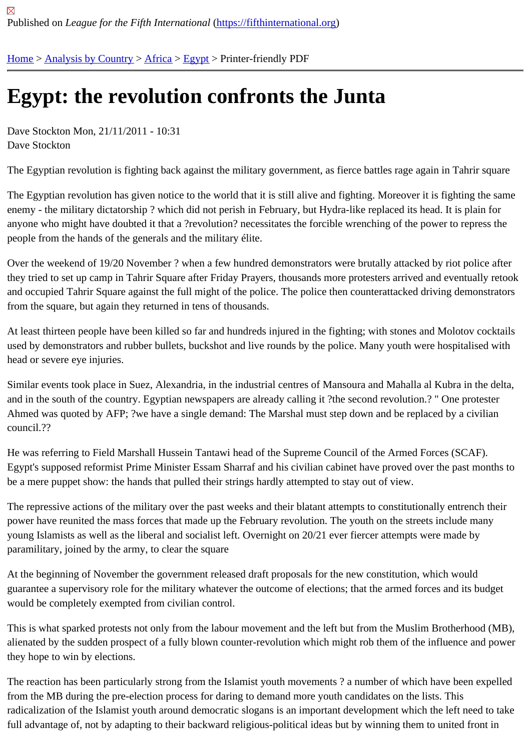## [Eg](https://fifthinternational.org/)y[pt: the rev](https://fifthinternational.org/category/1)[olut](https://fifthinternational.org/category/1/1)i[on c](https://fifthinternational.org/category/1/1/17)onfronts the Junta

Dave Stockton Mon, 21/11/2011 - 10:31 Dave Stockton

The Egyptian revolution is fighting back against the military government, as fierce battles rage again in Tahrir squa

The Egyptian revolution has given notice to the world that it is still alive and fighting. Moreover it is fighting the same enemy - the military dictatorship ? which did not perish in February, but Hydra-like replaced its head. It is plain for anyone who might have doubted it that a ?revolution? necessitates the forcible wrenching of the power to repress the people from the hands of the generals and the military élite.

Over the weekend of 19/20 November ? when a few hundred demonstrators were brutally attacked by riot police a they tried to set up camp in Tahrir Square after Friday Prayers, thousands more protesters arrived and eventually and occupied Tahrir Square against the full might of the police. The police then counterattacked driving demonstra from the square, but again they returned in tens of thousands.

At least thirteen people have been killed so far and hundreds injured in the fighting; with stones and Molotov cockt used by demonstrators and rubber bullets, buckshot and live rounds by the police. Many youth were hospitalised v head or severe eye injuries.

Similar events took place in Suez, Alexandria, in the industrial centres of Mansoura and Mahalla al Kubra in the de and in the south of the country. Egyptian newspapers are already calling it ?the second revolution.? " One proteste Ahmed was quoted by AFP; ?we have a single demand: The Marshal must step down and be replaced by a civilian council.??

He was referring to Field Marshall Hussein Tantawi head of the Supreme Council of the Armed Forces (SCAF). Egypt's supposed reformist Prime Minister Essam Sharraf and his civilian cabinet have proved over the past mont be a mere puppet show: the hands that pulled their strings hardly attempted to stay out of view.

The repressive actions of the military over the past weeks and their blatant attempts to constitutionally entrench th power have reunited the mass forces that made up the February revolution. The youth on the streets include many young Islamists as well as the liberal and socialist left. Overnight on 20/21 ever fiercer attempts were made by paramilitary, joined by the army, to clear the square

At the beginning of November the government released draft proposals for the new constitution, which would guarantee a supervisory role for the military whatever the outcome of elections; that the armed forces and its budg would be completely exempted from civilian control.

This is what sparked protests not only from the labour movement and the left but from the Muslim Brotherhood (MI alienated by the sudden prospect of a fully blown counter-revolution which might rob them of the influence and pow they hope to win by elections.

The reaction has been particularly strong from the Islamist youth movements ? a number of which have been expe from the MB during the pre-election process for daring to demand more youth candidates on the lists. This radicalization of the Islamist youth around democratic slogans is an important development which the left need to t full advantage of, not by adapting to their backward religious-political ideas but by winning them to united front in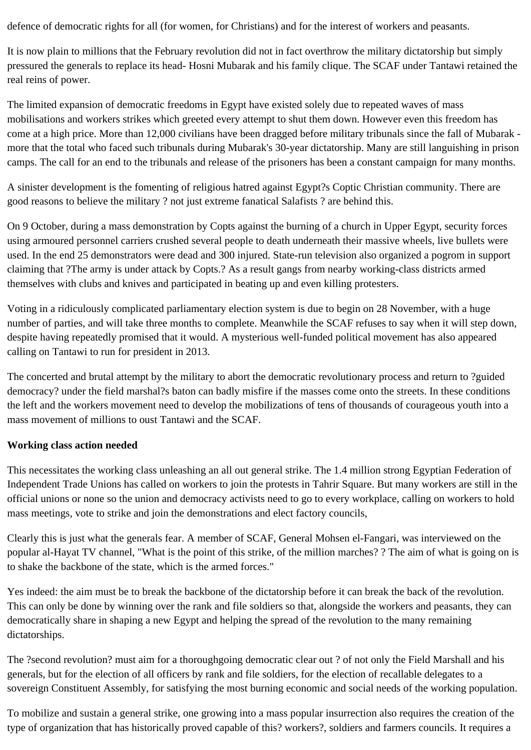defence of democratic rights for all (for women, for Christians) and for the interest of workers and peasants.

It is now plain to millions that the February revolution did not in fact overthrow the military dictatorship but simply pressured the generals to replace its head- Hosni Mubarak and his family clique. The SCAF under Tantawi retained the real reins of power.

The limited expansion of democratic freedoms in Egypt have existed solely due to repeated waves of mass mobilisations and workers strikes which greeted every attempt to shut them down. However even this freedom has come at a high price. More than 12,000 civilians have been dragged before military tribunals since the fall of Mubarak more that the total who faced such tribunals during Mubarak's 30-year dictatorship. Many are still languishing in prison camps. The call for an end to the tribunals and release of the prisoners has been a constant campaign for many months.

A sinister development is the fomenting of religious hatred against Egypt?s Coptic Christian community. There are good reasons to believe the military ? not just extreme fanatical Salafists ? are behind this.

On 9 October, during a mass demonstration by Copts against the burning of a church in Upper Egypt, security forces using armoured personnel carriers crushed several people to death underneath their massive wheels, live bullets were used. In the end 25 demonstrators were dead and 300 injured. State-run television also organized a pogrom in support claiming that ?The army is under attack by Copts.? As a result gangs from nearby working-class districts armed themselves with clubs and knives and participated in beating up and even killing protesters.

Voting in a ridiculously complicated parliamentary election system is due to begin on 28 November, with a huge number of parties, and will take three months to complete. Meanwhile the SCAF refuses to say when it will step down, despite having repeatedly promised that it would. A mysterious well-funded political movement has also appeared calling on Tantawi to run for president in 2013.

The concerted and brutal attempt by the military to abort the democratic revolutionary process and return to ?guided democracy? under the field marshal?s baton can badly misfire if the masses come onto the streets. In these conditions the left and the workers movement need to develop the mobilizations of tens of thousands of courageous youth into a mass movement of millions to oust Tantawi and the SCAF.

## **Working class action needed**

This necessitates the working class unleashing an all out general strike. The 1.4 million strong Egyptian Federation of Independent Trade Unions has called on workers to join the protests in Tahrir Square. But many workers are still in the official unions or none so the union and democracy activists need to go to every workplace, calling on workers to hold mass meetings, vote to strike and join the demonstrations and elect factory councils,

Clearly this is just what the generals fear. A member of SCAF, General Mohsen el-Fangari, was interviewed on the popular al-Hayat TV channel, "What is the point of this strike, of the million marches? ? The aim of what is going on is to shake the backbone of the state, which is the armed forces."

Yes indeed: the aim must be to break the backbone of the dictatorship before it can break the back of the revolution. This can only be done by winning over the rank and file soldiers so that, alongside the workers and peasants, they can democratically share in shaping a new Egypt and helping the spread of the revolution to the many remaining dictatorships.

The ?second revolution? must aim for a thoroughgoing democratic clear out ? of not only the Field Marshall and his generals, but for the election of all officers by rank and file soldiers, for the election of recallable delegates to a sovereign Constituent Assembly, for satisfying the most burning economic and social needs of the working population.

To mobilize and sustain a general strike, one growing into a mass popular insurrection also requires the creation of the type of organization that has historically proved capable of this? workers?, soldiers and farmers councils. It requires a